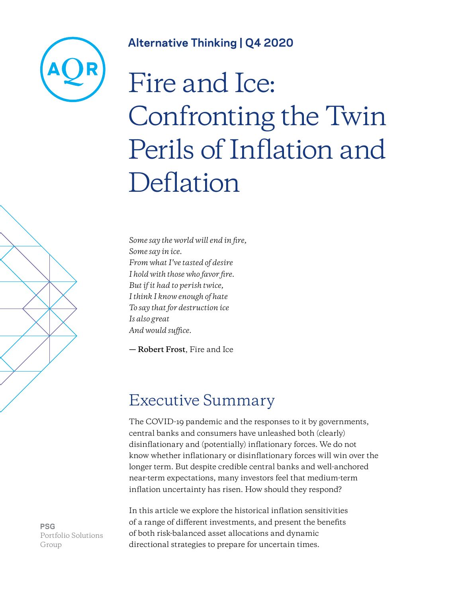

### **Alternative Thinking | Q4 2020**

# Fire and Ice: Confronting the Twin Perils of Inflation and Deflation

*Some say the world will end in fire, Some say in ice. From what I've tasted of desire I hold with those who favor fire. But if it had to perish twice, I think I know enough of hate To say that for destruction ice Is also great And would suffice.*

**— Robert Frost**, Fire and Ice

## Executive Summary

The COVID-19 pandemic and the responses to it by governments, central banks and consumers have unleashed both (clearly) disinflationary and (potentially) inflationary forces. We do not know whether inflationary or disinflationary forces will win over the longer term. But despite credible central banks and well-anchored near-term expectations, many investors feel that medium-term inflation uncertainty has risen. How should they respond?

In this article we explore the historical inflation sensitivities of a range of different investments, and present the benefits of both risk-balanced asset allocations and dynamic directional strategies to prepare for uncertain times.

**PSG** Portfolio Solutions Group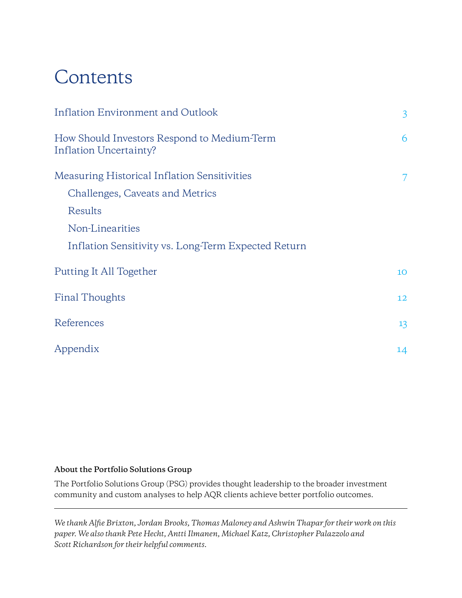# Contents

| <b>Inflation Environment and Outlook</b>                              | $\overline{3}$ |
|-----------------------------------------------------------------------|----------------|
| How Should Investors Respond to Medium-Term<br>Inflation Uncertainty? | 6              |
| <b>Measuring Historical Inflation Sensitivities</b>                   | 7              |
| Challenges, Caveats and Metrics                                       |                |
| Results                                                               |                |
| Non-Linearities                                                       |                |
| Inflation Sensitivity vs. Long-Term Expected Return                   |                |
| Putting It All Together                                               | 10             |
| <b>Final Thoughts</b>                                                 |                |
| References                                                            | 13             |
| Appendix                                                              | 14             |

### **About the Portfolio Solutions Group**

The Portfolio Solutions Group (PSG) provides thought leadership to the broader investment community and custom analyses to help AQR clients achieve better portfolio outcomes.

*We thank Alfie Brixton, Jordan Brooks, Thomas Maloney and Ashwin Thapar for their work on this paper. We also thank Pete Hecht, Antti Ilmanen, Michael Katz, Christopher Palazzolo and Scott Richardson for their helpful comments.*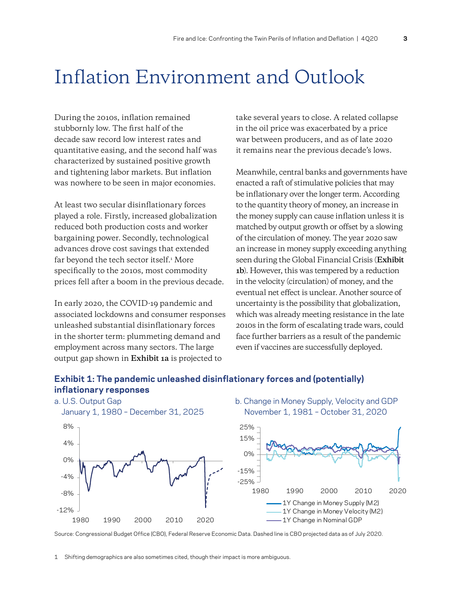# <span id="page-2-0"></span>Inflation Environment and Outlook

During the 2010s, inflation remained stubbornly low. The first half of the decade saw record low interest rates and quantitative easing, and the second half was characterized by sustained positive growth and tightening labor markets. But inflation was nowhere to be seen in major economies.

At least two secular disinflationary forces played a role. Firstly, increased globalization reduced both production costs and worker bargaining power. Secondly, technological advances drove cost savings that extended far beyond the tech sector itself.<sup>1</sup> More specifically to the 2010s, most commodity prices fell after a boom in the previous decade.

In early 2020, the COVID-19 pandemic and associated lockdowns and consumer responses unleashed substantial disinflationary forces in the shorter term: plummeting demand and employment across many sectors. The large output gap shown in **Exhibit 1a** is projected to

take several years to close. A related collapse in the oil price was exacerbated by a price war between producers, and as of late 2020 it remains near the previous decade's lows.

Meanwhile, central banks and governments have enacted a raft of stimulative policies that may be inflationary over the longer term. According to the quantity theory of money, an increase in the money supply can cause inflation unless it is matched by output growth or offset by a slowing of the circulation of money. The year 2020 saw an increase in money supply exceeding anything seen during the Global Financial Crisis (**Exhibit 1b**). However, this was tempered by a reduction in the velocity (circulation) of money, and the eventual net effect is unclear. Another source of uncertainty is the possibility that globalization, which was already meeting resistance in the late 2010s in the form of escalating trade wars, could face further barriers as a result of the pandemic even if vaccines are successfully deployed.

### **Exhibit 1: The pandemic unleashed disinflationary forces and (potentially) inflationary responses**



Source: Congressional Budget Office (CBO), Federal Reserve Economic Data. Dashed line is CBO projected data as of July 2020.

1 Shifting demographics are also sometimes cited, though their impact is more ambiguous.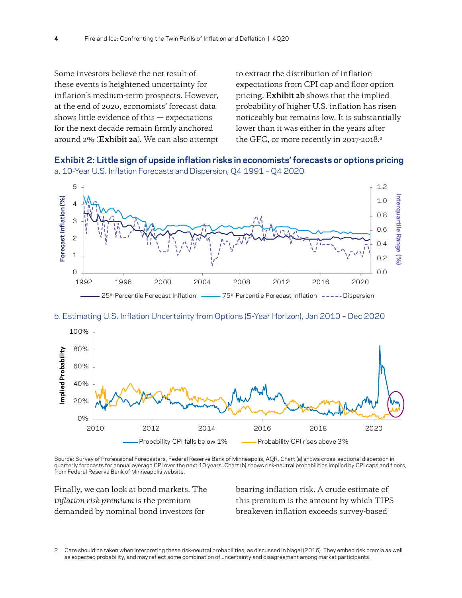Some investors believe the net result of these events is heightened uncertainty for inflation's medium-term prospects. However, at the end of 2020, economists' forecast data shows little evidence of this — expectations for the next decade remain firmly anchored around 2% (**Exhibit 2a**). We can also attempt to extract the distribution of inflation expectations from CPI cap and floor option pricing. **Exhibit 2b** shows that the implied probability of higher U.S. inflation has risen noticeably but remains low. It is substantially lower than it was either in the years after the GFC, or more recently in 2017-2018.<sup>2</sup>





#### b. Estimating U.S. Inflation Uncertainty from Options (5-Year Horizon), Jan 2010 – Dec 2020



Source: Survey of Professional Forecasters, Federal Reserve Bank of Minneapolis, AQR. Chart (a) shows cross-sectional dispersion in quarterly forecasts for annual average CPI over the next 10 years. Chart (b) shows risk-neutral probabilities implied by CPI caps and floors, from Federal Reserve Bank of Minneapolis website.

Finally, we can look at bond markets. The *inflation risk premium* is the premium demanded by nominal bond investors for

bearing inflation risk. A crude estimate of this premium is the amount by which TIPS breakeven inflation exceeds survey-based

<sup>2</sup> Care should be taken when interpreting these risk-neutral probabilities, as discussed in Nagel (2016). They embed risk premia as well as expected probability, and may reflect some combination of uncertainty and disagreement among market participants.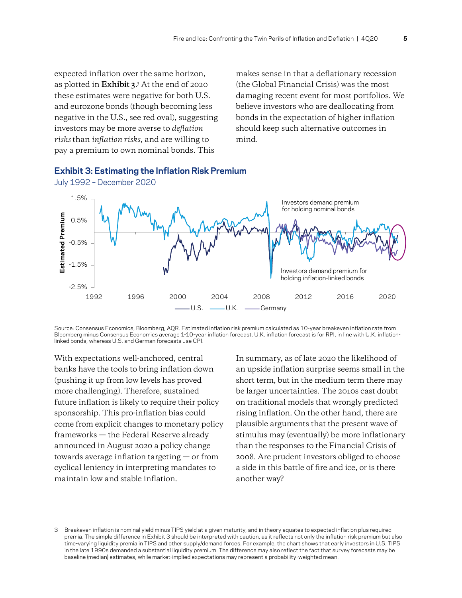expected inflation over the same horizon, as plotted in **Exhibit 3**. 3 At the end of 2020 these estimates were negative for both U.S. and eurozone bonds (though becoming less negative in the U.S., see red oval), suggesting investors may be more averse to *deflation risks* than *inflation risks*, and are willing to pay a premium to own nominal bonds. This

makes sense in that a deflationary recession (the Global Financial Crisis) was the most damaging recent event for most portfolios. We believe investors who are deallocating from bonds in the expectation of higher inflation should keep such alternative outcomes in mind.



**Exhibit 3: Estimating the Inflation Risk Premium** 

Source: Consensus Economics, Bloomberg, AQR. Estimated inflation risk premium calculated as 10-year breakeven inflation rate from Bloomberg minus Consensus Economics average 1-10-year inflation forecast. U.K. inflation forecast is for RPI, in line with U.K. inflationlinked bonds, whereas U.S. and German forecasts use CPI.

With expectations well-anchored, central banks have the tools to bring inflation down (pushing it up from low levels has proved more challenging). Therefore, sustained future inflation is likely to require their policy sponsorship. This pro-inflation bias could come from explicit changes to monetary policy frameworks — the Federal Reserve already announced in August 2020 a policy change towards average inflation targeting — or from cyclical leniency in interpreting mandates to maintain low and stable inflation.

In summary, as of late 2020 the likelihood of an upside inflation surprise seems small in the short term, but in the medium term there may be larger uncertainties. The 2010s cast doubt on traditional models that wrongly predicted rising inflation. On the other hand, there are plausible arguments that the present wave of stimulus may (eventually) be more inflationary than the responses to the Financial Crisis of 2008. Are prudent investors obliged to choose a side in this battle of fire and ice, or is there another way?

<sup>3</sup> Breakeven inflation is nominal yield minus TIPS yield at a given maturity, and in theory equates to expected inflation plus required premia. The simple difference in Exhibit 3 should be interpreted with caution, as it reflects not only the inflation risk premium but also time-varying liquidity premia in TIPS and other supply/demand forces. For example, the chart shows that early investors in U.S. TIPS in the late 1990s demanded a substantial liquidity premium. The difference may also reflect the fact that survey forecasts may be baseline (median) estimates, while market-implied expectations may represent a probability-weighted mean.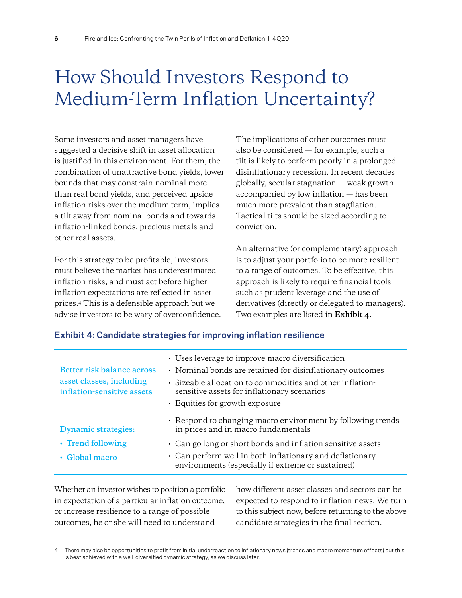# <span id="page-5-0"></span>How Should Investors Respond to Medium-Term Inflation Uncertainty?

Some investors and asset managers have suggested a decisive shift in asset allocation is justified in this environment. For them, the combination of unattractive bond yields, lower bounds that may constrain nominal more than real bond yields, and perceived upside inflation risks over the medium term, implies a tilt away from nominal bonds and towards inflation-linked bonds, precious metals and other real assets.

For this strategy to be profitable, investors must believe the market has underestimated inflation risks, and must act before higher inflation expectations are reflected in asset prices.4 This is a defensible approach but we advise investors to be wary of overconfidence. The implications of other outcomes must also be considered — for example, such a tilt is likely to perform poorly in a prolonged disinflationary recession. In recent decades globally, secular stagnation — weak growth accompanied by low inflation — has been much more prevalent than stagflation. Tactical tilts should be sized according to conviction.

An alternative (or complementary) approach is to adjust your portfolio to be more resilient to a range of outcomes. To be effective, this approach is likely to require financial tools such as prudent leverage and the use of derivatives (directly or delegated to managers). Two examples are listed in **Exhibit 4.**

#### **Exhibit 4: Candidate strategies for improving inflation resilience**

| Better risk balance across<br>asset classes, including<br>inflation-sensitive assets | • Uses leverage to improve macro diversification<br>• Nominal bonds are retained for disinflationary outcomes<br>· Sizeable allocation to commodities and other inflation-<br>sensitive assets for inflationary scenarios<br>• Equities for growth exposure |
|--------------------------------------------------------------------------------------|-------------------------------------------------------------------------------------------------------------------------------------------------------------------------------------------------------------------------------------------------------------|
| <b>Dynamic strategies:</b>                                                           | • Respond to changing macro environment by following trends<br>in prices and in macro fundamentals                                                                                                                                                          |
| • Trend following                                                                    | • Can go long or short bonds and inflation sensitive assets                                                                                                                                                                                                 |
| • Global macro                                                                       | • Can perform well in both inflationary and deflationary<br>environments (especially if extreme or sustained)                                                                                                                                               |

Whether an investor wishes to position a portfolio in expectation of a particular inflation outcome, or increase resilience to a range of possible outcomes, he or she will need to understand

how different asset classes and sectors can be expected to respond to inflation news. We turn to this subject now, before returning to the above candidate strategies in the final section.

<sup>4</sup> There may also be opportunities to profit from initial underreaction to inflationary news (trends and macro momentum effects) but this is best achieved with a well-diversified dynamic strategy, as we discuss later.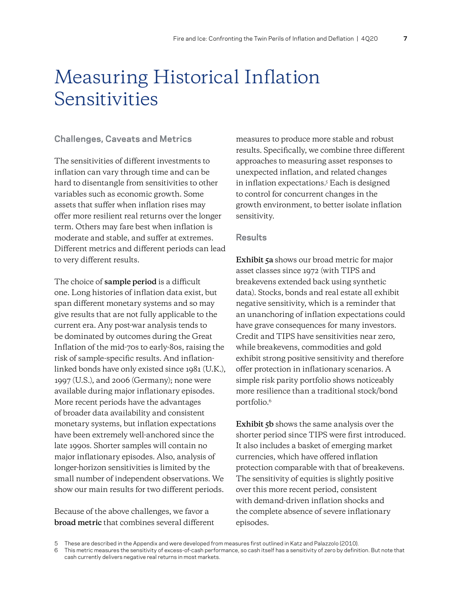# <span id="page-6-0"></span>Measuring Historical Inflation Sensitivities

### <span id="page-6-1"></span>**Challenges, Caveats and Metrics**

The sensitivities of different investments to inflation can vary through time and can be hard to disentangle from sensitivities to other variables such as economic growth. Some assets that suffer when inflation rises may offer more resilient real returns over the longer term. Others may fare best when inflation is moderate and stable, and suffer at extremes. Different metrics and different periods can lead to very different results.

The choice of **sample period** is a difficult one. Long histories of inflation data exist, but span different monetary systems and so may give results that are not fully applicable to the current era. Any post-war analysis tends to be dominated by outcomes during the Great Inflation of the mid-70s to early-80s, raising the risk of sample-specific results. And inflationlinked bonds have only existed since 1981 (U.K.), 1997 (U.S.), and 2006 (Germany); none were available during major inflationary episodes. More recent periods have the advantages of broader data availability and consistent monetary systems, but inflation expectations have been extremely well-anchored since the late 1990s. Shorter samples will contain no major inflationary episodes. Also, analysis of longer-horizon sensitivities is limited by the small number of independent observations. We show our main results for two different periods.

Because of the above challenges, we favor a **broad metric** that combines several different measures to produce more stable and robust results. Specifically, we combine three different approaches to measuring asset responses to unexpected inflation, and related changes in inflation expectations.<sup>5</sup> Each is designed to control for concurrent changes in the growth environment, to better isolate inflation sensitivity.

#### <span id="page-6-2"></span>**Results**

**Exhibit 5a** shows our broad metric for major asset classes since 1972 (with TIPS and breakevens extended back using synthetic data). Stocks, bonds and real estate all exhibit negative sensitivity, which is a reminder that an unanchoring of inflation expectations could have grave consequences for many investors. Credit and TIPS have sensitivities near zero, while breakevens, commodities and gold exhibit strong positive sensitivity and therefore offer protection in inflationary scenarios. A simple risk parity portfolio shows noticeably more resilience than a traditional stock/bond portfolio.<sup>6</sup>

**Exhibit 5b** shows the same analysis over the shorter period since TIPS were first introduced. It also includes a basket of emerging market currencies, which have offered inflation protection comparable with that of breakevens. The sensitivity of equities is slightly positive over this more recent period, consistent with demand-driven inflation shocks and the complete absence of severe inflationary episodes.

<sup>5</sup> These are described in the Appendix and were developed from measures first outlined in Katz and Palazzolo (2010).

<sup>6</sup> This metric measures the sensitivity of excess-of-cash performance, so cash itself has a sensitivity of zero by definition. But note that cash currently delivers negative real returns in most markets.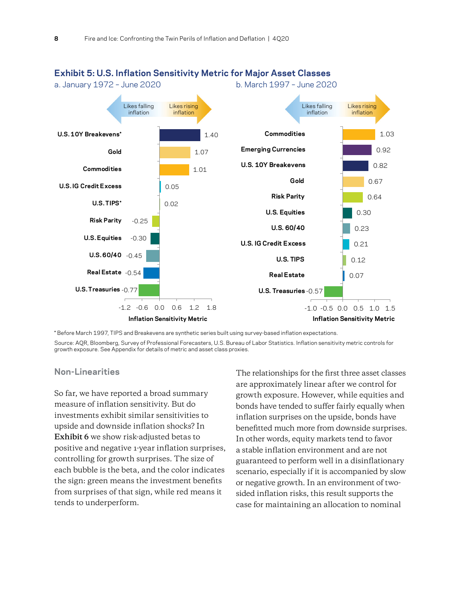

#### **Exhibit 5: U.S. Inflation Sensitivity Metric for Major Asset Classes**

\* Before March 1997, TIPS and Breakevens are synthetic series built using survey-based inflation expectations. Source: AQR, Bloomberg, Survey of Professional Forecasters, U.S. Bureau of Labor Statistics. Inflation sensitivity metric controls for growth exposure. See Appendix for details of metric and asset class proxies.

### <span id="page-7-0"></span>**Non-Linearities**

So far, we have reported a broad summary measure of inflation sensitivity. But do investments exhibit similar sensitivities to upside and downside inflation shocks? In **Exhibit 6** we show risk-adjusted betas to positive and negative 1-year inflation surprises, controlling for growth surprises. The size of each bubble is the beta, and the color indicates the sign: green means the investment benefits from surprises of that sign, while red means it tends to underperform.

The relationships for the first three asset classes are approximately linear after we control for growth exposure. However, while equities and bonds have tended to suffer fairly equally when inflation surprises on the upside, bonds have benefitted much more from downside surprises. In other words, equity markets tend to favor a stable inflation environment and are not guaranteed to perform well in a disinflationary scenario, especially if it is accompanied by slow or negative growth. In an environment of twosided inflation risks, this result supports the case for maintaining an allocation to nominal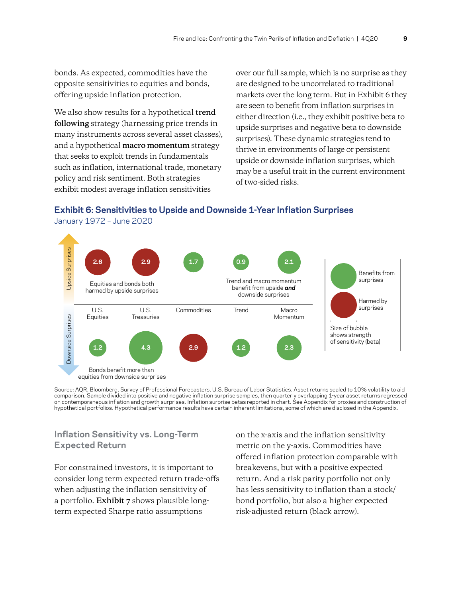bonds. As expected, commodities have the opposite sensitivities to equities and bonds, offering upside inflation protection.

We also show results for a hypothetical **trend following** strategy (harnessing price trends in many instruments across several asset classes), and a hypothetical **macro momentum** strategy that seeks to exploit trends in fundamentals such as inflation, international trade, monetary policy and risk sentiment. Both strategies exhibit modest average inflation sensitivities

over our full sample, which is no surprise as they are designed to be uncorrelated to traditional markets over the long term. But in Exhibit 6 they are seen to benefit from inflation surprises in either direction (i.e., they exhibit positive beta to upside surprises and negative beta to downside surprises). These dynamic strategies tend to thrive in environments of large or persistent upside or downside inflation surprises, which may be a useful trait in the current environment of two-sided risks.

#### **Exhibit 6: Sensitivities to Upside and Downside 1-Year Inflation Surprises**  January 1972 – June 2020



Source: AQR, Bloomberg, Survey of Professional Forecasters, U.S. Bureau of Labor Statistics. Asset returns scaled to 10% volatility to aid comparison. Sample divided into positive and negative inflation surprise samples, then quarterly overlapping 1-year asset returns regressed on contemporaneous inflation and growth surprises. Inflation surprise betas reported in chart. See Appendix for proxies and construction of hypothetical portfolios. Hypothetical performance results have certain inherent limitations, some of which are disclosed in the Appendix.

### <span id="page-8-0"></span>**Inflation Sensitivity vs. Long-Term Expected Return**

For constrained investors, it is important to consider long term expected return trade-offs when adjusting the inflation sensitivity of a portfolio. **Exhibit 7** shows plausible longterm expected Sharpe ratio assumptions

on the x-axis and the inflation sensitivity metric on the y-axis. Commodities have offered inflation protection comparable with breakevens, but with a positive expected return. And a risk parity portfolio not only has less sensitivity to inflation than a stock/ bond portfolio, but also a higher expected risk-adjusted return (black arrow).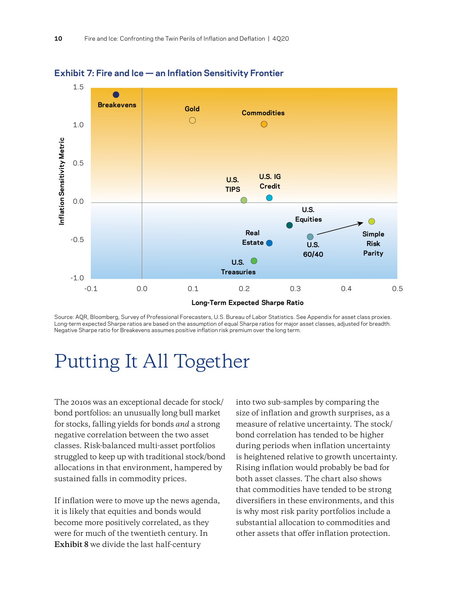



Source: AQR, Bloomberg, Survey of Professional Forecasters, U.S. Bureau of Labor Statistics. See Appendix for asset class proxies. Long-term expected Sharpe ratios are based on the assumption of equal Sharpe ratios for major asset classes, adjusted for breadth. Negative Sharpe ratio for Breakevens assumes positive inflation risk premium over the long term.

# <span id="page-9-0"></span>Putting It All Together

The 2010s was an exceptional decade for stock/ bond portfolios: an unusually long bull market for stocks, falling yields for bonds *and* a strong negative correlation between the two asset classes. Risk-balanced multi-asset portfolios struggled to keep up with traditional stock/bond allocations in that environment, hampered by sustained falls in commodity prices.

If inflation were to move up the news agenda, it is likely that equities and bonds would become more positively correlated, as they were for much of the twentieth century. In **Exhibit 8** we divide the last half-century

into two sub-samples by comparing the size of inflation and growth surprises, as a measure of relative uncertainty. The stock/ bond correlation has tended to be higher during periods when inflation uncertainty is heightened relative to growth uncertainty. Rising inflation would probably be bad for both asset classes. The chart also shows that commodities have tended to be strong diversifiers in these environments, and this is why most risk parity portfolios include a substantial allocation to commodities and other assets that offer inflation protection.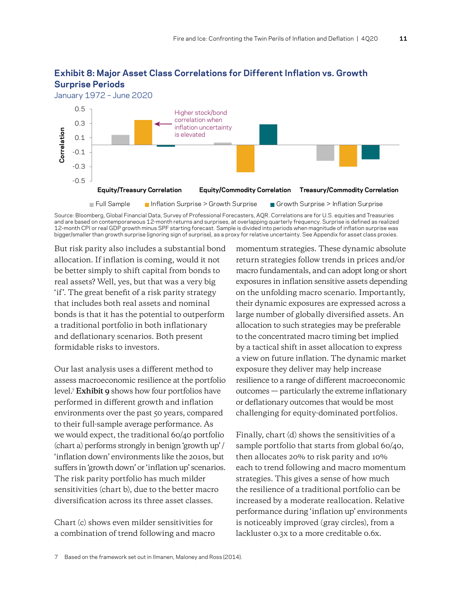

### **Exhibit 8: Major Asset Class Correlations for Different Inflation vs. Growth Surprise Periods**

Source: Bloomberg, Global Financial Data, Survey of Professional Forecasters, AQR. Correlations are for U.S. equities and Treasuries and are based on contemporaneous 12-month returns and surprises, at overlapping quarterly frequency. Surprise is defined as realized 12-month CPI or real GDP growth minus SPF starting forecast. Sample is divided into periods when magnitude of inflation surprise was bigger/smaller than growth surprise (ignoring sign of surprise), as a proxy for relative uncertainty. See Appendix for asset class proxies.

But risk parity also includes a substantial bond allocation. If inflation is coming, would it not be better simply to shift capital from bonds to real assets? Well, yes, but that was a very big 'if'. The great benefit of a risk parity strategy that includes both real assets and nominal bonds is that it has the potential to outperform a traditional portfolio in both inflationary and deflationary scenarios. Both present formidable risks to investors.

Our last analysis uses a different method to assess macroeconomic resilience at the portfolio level.<sup>7</sup> **Exhibit 9** shows how four portfolios have performed in different growth and inflation environments over the past 50 years, compared to their full-sample average performance. As we would expect, the traditional 60/40 portfolio (chart a) performs strongly in benign 'growth up' / 'inflation down' environments like the 2010s, but suffers in 'growth down' or 'inflation up' scenarios. The risk parity portfolio has much milder sensitivities (chart b), due to the better macro diversification across its three asset classes.

Chart (c) shows even milder sensitivities for a combination of trend following and macro momentum strategies. These dynamic absolute return strategies follow trends in prices and/or macro fundamentals, and can adopt long or short exposures in inflation sensitive assets depending on the unfolding macro scenario. Importantly, their dynamic exposures are expressed across a large number of globally diversified assets. An allocation to such strategies may be preferable to the concentrated macro timing bet implied by a tactical shift in asset allocation to express a view on future inflation. The dynamic market exposure they deliver may help increase resilience to a range of different macroeconomic outcomes — particularly the extreme inflationary or deflationary outcomes that would be most challenging for equity-dominated portfolios.

Finally, chart (d) shows the sensitivities of a sample portfolio that starts from global 60/40, then allocates 20% to risk parity and 10% each to trend following and macro momentum strategies. This gives a sense of how much the resilience of a traditional portfolio can be increased by a moderate reallocation. Relative performance during 'inflation up' environments is noticeably improved (gray circles), from a lackluster 0.3x to a more creditable 0.6x.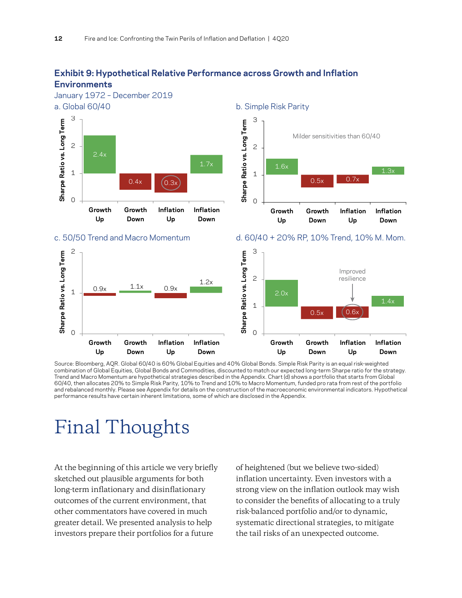### **Exhibit 9: Hypothetical Relative Performance across Growth and Inflation Environments**



Source: Bloomberg, AQR. Global 60/40 is 60% Global Equities and 40% Global Bonds. Simple Risk Parity is an equal risk-weighted combination of Global Equities, Global Bonds and Commodities, discounted to match our expected long-term Sharpe ratio for the strategy. Trend and Macro Momentum are hypothetical strategies described in the Appendix. Chart (d) shows a portfolio that starts from Global 60/40, then allocates 20% to Simple Risk Parity, 10% to Trend and 10% to Macro Momentum, funded pro rata from rest of the portfolio and rebalanced monthly. Please see Appendix for details on the construction of the macroeconomic environmental indicators. Hypothetical performance results have certain inherent limitations, some of which are disclosed in the Appendix.

# <span id="page-11-0"></span>Final Thoughts

At the beginning of this article we very briefly sketched out plausible arguments for both long-term inflationary and disinflationary outcomes of the current environment, that other commentators have covered in much greater detail. We presented analysis to help investors prepare their portfolios for a future

of heightened (but we believe two-sided) inflation uncertainty. Even investors with a strong view on the inflation outlook may wish to consider the benefits of allocating to a truly risk-balanced portfolio and/or to dynamic, systematic directional strategies, to mitigate the tail risks of an unexpected outcome.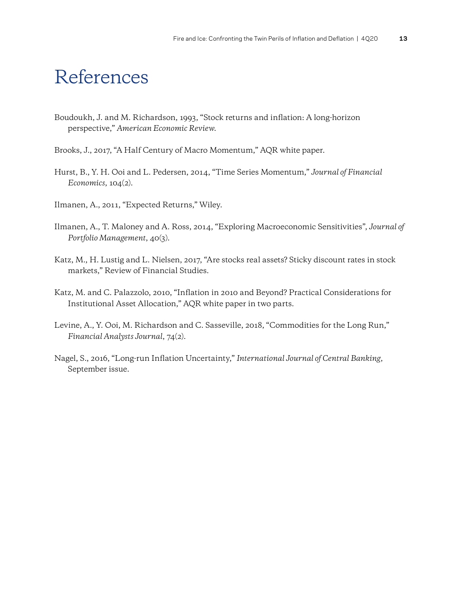# <span id="page-12-0"></span>References

- Boudoukh, J. and M. Richardson, 1993, "Stock returns and inflation: A long-horizon perspective," *American Economic Review*.
- Brooks, J., 2017, "A Half Century of Macro Momentum," AQR white paper.
- Hurst, B., Y. H. Ooi and L. Pedersen, 2014, "Time Series Momentum," *Journal of Financial Economics*, 104(2).
- Ilmanen, A., 2011, "Expected Returns," Wiley.
- Ilmanen, A., T. Maloney and A. Ross, 2014, "Exploring Macroeconomic Sensitivities", *Journal of Portfolio Management*, 40(3).
- Katz, M., H. Lustig and L. Nielsen, 2017, "Are stocks real assets? Sticky discount rates in stock markets," Review of Financial Studies.
- Katz, M. and C. Palazzolo, 2010, "Inflation in 2010 and Beyond? Practical Considerations for Institutional Asset Allocation," AQR white paper in two parts.
- Levine, A., Y. Ooi, M. Richardson and C. Sasseville, 2018, "Commodities for the Long Run," *Financial Analysts Journal*, 74(2).
- Nagel, S., 2016, "Long-run Inflation Uncertainty," *International Journal of Central Banking*, September issue.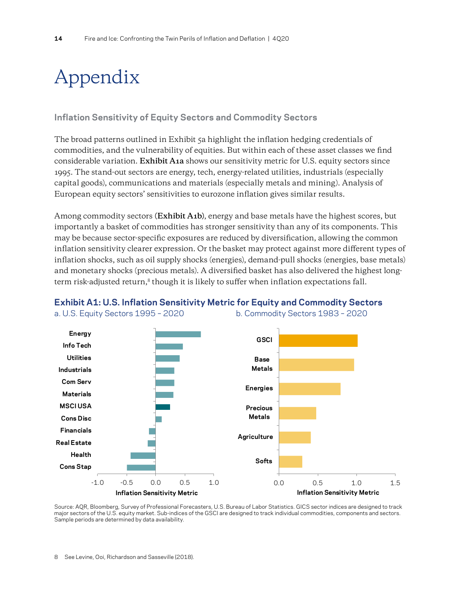# <span id="page-13-0"></span>Appendix

### **Inflation Sensitivity of Equity Sectors and Commodity Sectors**

The broad patterns outlined in Exhibit 5a highlight the inflation hedging credentials of commodities, and the vulnerability of equities. But within each of these asset classes we find considerable variation. **Exhibit A1a** shows our sensitivity metric for U.S. equity sectors since 1995. The stand-out sectors are energy, tech, energy-related utilities, industrials (especially capital goods), communications and materials (especially metals and mining). Analysis of European equity sectors' sensitivities to eurozone inflation gives similar results.

Among commodity sectors **(Exhibit A1b)**, energy and base metals have the highest scores, but importantly a basket of commodities has stronger sensitivity than any of its components. This may be because sector-specific exposures are reduced by diversification, allowing the common inflation sensitivity clearer expression. Or the basket may protect against more different types of inflation shocks, such as oil supply shocks (energies), demand-pull shocks (energies, base metals) and monetary shocks (precious metals). A diversified basket has also delivered the highest longterm risk-adjusted return, $8$  though it is likely to suffer when inflation expectations fall.





a. U.S. Equity Sectors 1995 – 2020 b. Commodity Sectors 1983 – 2020

Source: AQR, Bloomberg, Survey of Professional Forecasters, U.S. Bureau of Labor Statistics. GICS sector indices are designed to track major sectors of the U.S. equity market. Sub-indices of the GSCI are designed to track individual commodities, components and sectors. Sample periods are determined by data availability.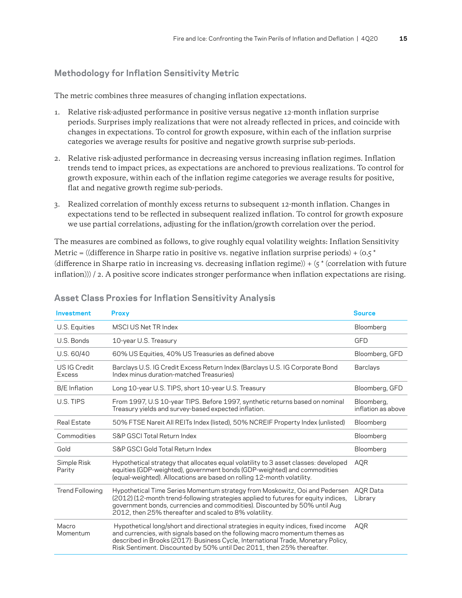### **Methodology for Inflation Sensitivity Metric**

The metric combines three measures of changing inflation expectations.

- 1. Relative risk-adjusted performance in positive versus negative 12-month inflation surprise periods. Surprises imply realizations that were not already reflected in prices, and coincide with changes in expectations. To control for growth exposure, within each of the inflation surprise categories we average results for positive and negative growth surprise sub-periods.
- 2. Relative risk-adjusted performance in decreasing versus increasing inflation regimes. Inflation trends tend to impact prices, as expectations are anchored to previous realizations. To control for growth exposure, within each of the inflation regime categories we average results for positive, flat and negative growth regime sub-periods.
- 3. Realized correlation of monthly excess returns to subsequent 12-month inflation. Changes in expectations tend to be reflected in subsequent realized inflation. To control for growth exposure we use partial correlations, adjusting for the inflation/growth correlation over the period.

The measures are combined as follows, to give roughly equal volatility weights: Inflation Sensitivity Metric = ((difference in Sharpe ratio in positive vs. negative inflation surprise periods) + ( $0.5*$ (difference in Sharpe ratio in increasing vs. decreasing inflation regime)) +  $\zeta^*$  (correlation with future inflation))) / 2. A positive score indicates stronger performance when inflation expectations are rising.

| Investment             | <b>Proxy</b>                                                                                                                                                                                                                                                                                                                      | <b>Source</b>                    |
|------------------------|-----------------------------------------------------------------------------------------------------------------------------------------------------------------------------------------------------------------------------------------------------------------------------------------------------------------------------------|----------------------------------|
| U.S. Equities          | MSCI US Net TR Index                                                                                                                                                                                                                                                                                                              | Bloomberg                        |
| U.S. Bonds             | 10-year U.S. Treasury                                                                                                                                                                                                                                                                                                             | GFD                              |
| U.S. 60/40             | 60% US Equities, 40% US Treasuries as defined above                                                                                                                                                                                                                                                                               | Bloomberg, GFD                   |
| US IG Credit<br>Excess | Barclays U.S. IG Credit Excess Return Index (Barclays U.S. IG Corporate Bond<br>Index minus duration-matched Treasuries)                                                                                                                                                                                                          | <b>Barclays</b>                  |
| <b>B/E</b> Inflation   | Long 10-year U.S. TIPS, short 10-year U.S. Treasury                                                                                                                                                                                                                                                                               | Bloomberg, GFD                   |
| U.S. TIPS              | From 1997, U.S 10-year TIPS. Before 1997, synthetic returns based on nominal<br>Treasury yields and survey-based expected inflation.                                                                                                                                                                                              | Bloomberg,<br>inflation as above |
| Real Estate            | 50% FTSE Nareit All REITs Index (listed), 50% NCREIF Property Index (unlisted)                                                                                                                                                                                                                                                    | Bloomberg                        |
| Commodities            | S&P GSCI Total Return Index                                                                                                                                                                                                                                                                                                       | Bloomberg                        |
| Gold                   | S&P GSCI Gold Total Return Index                                                                                                                                                                                                                                                                                                  | Bloomberg                        |
| Simple Risk<br>Parity  | Hypothetical strategy that allocates equal volatility to 3 asset classes: developed<br>equities (GDP-weighted), government bonds (GDP-weighted) and commodities<br>(equal-weighted). Allocations are based on rolling 12-month volatility.                                                                                        | <b>AQR</b>                       |
| Trend Following        | Hypothetical Time Series Momentum strategy from Moskowitz, Ooi and Pedersen<br>(2012) (12-month trend-following strategies applied to futures for equity indices,<br>government bonds, currencies and commodities). Discounted by 50% until Aug<br>2012, then 25% thereafter and scaled to 8% volatility.                         | AQR Data<br>Library              |
| Macro<br>Momentum      | Hypothetical long/short and directional strategies in equity indices, fixed income<br>and currencies, with signals based on the following macro momentum themes as<br>described in Brooks (2017): Business Cycle, International Trade, Monetary Policy,<br>Risk Sentiment. Discounted by 50% until Dec 2011, then 25% thereafter. | <b>AOR</b>                       |

#### **Asset Class Proxies for Inflation Sensitivity Analysis**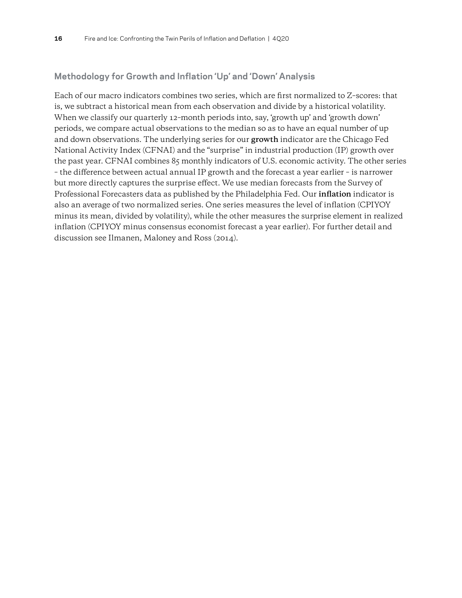### **Methodology for Growth and Inflation 'Up' and 'Down' Analysis**

Each of our macro indicators combines two series, which are first normalized to Z–scores: that is, we subtract a historical mean from each observation and divide by a historical volatility. When we classify our quarterly 12–month periods into, say, 'growth up' and 'growth down' periods, we compare actual observations to the median so as to have an equal number of up and down observations. The underlying series for our **growth** indicator are the Chicago Fed National Activity Index (CFNAI) and the "surprise" in industrial production (IP) growth over the past year. CFNAI combines 85 monthly indicators of U.S. economic activity. The other series – the difference between actual annual IP growth and the forecast a year earlier – is narrower but more directly captures the surprise effect. We use median forecasts from the Survey of Professional Forecasters data as published by the Philadelphia Fed. Our **inflation** indicator is also an average of two normalized series. One series measures the level of inflation (CPIYOY minus its mean, divided by volatility), while the other measures the surprise element in realized inflation (CPIYOY minus consensus economist forecast a year earlier). For further detail and discussion see Ilmanen, Maloney and Ross (2014).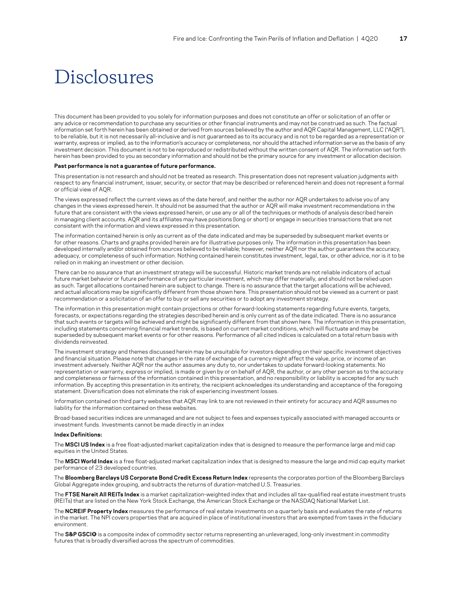# Disclosures

This document has been provided to you solely for information purposes and does not constitute an offer or solicitation of an offer or any advice or recommendation to purchase any securities or other financial instruments and may not be construed as such. The factual information set forth herein has been obtained or derived from sources believed by the author and AQR Capital Management, LLC ("AQR"), to be reliable, but it is not necessarily all-inclusive and is not guaranteed as to its accuracy and is not to be regarded as a representation or warranty, express or implied, as to the information's accuracy or completeness, nor should the attached information serve as the basis of any investment decision. This document is not to be reproduced or redistributed without the written consent of AQR. The information set forth herein has been provided to you as secondary information and should not be the primary source for any investment or allocation decision.

#### **Past performance is not a guarantee of future performance.**

This presentation is not research and should not be treated as research. This presentation does not represent valuation judgments with respect to any financial instrument, issuer, security, or sector that may be described or referenced herein and does not represent a formal or official view of AQR.

The views expressed reflect the current views as of the date hereof, and neither the author nor AQR undertakes to advise you of any changes in the views expressed herein. It should not be assumed that the author or AQR will make investment recommendations in the future that are consistent with the views expressed herein, or use any or all of the techniques or methods of analysis described herein in managing client accounts. AQR and its affiliates may have positions (long or short) or engage in securities transactions that are not consistent with the information and views expressed in this presentation.

The information contained herein is only as current as of the date indicated and may be superseded by subsequent market events or for other reasons. Charts and graphs provided herein are for illustrative purposes only. The information in this presentation has been developed internally and/or obtained from sources believed to be reliable; however, neither AQR nor the author guarantees the accuracy, adequacy, or completeness of such information. Nothing contained herein constitutes investment, legal, tax, or other advice, nor is it to be relied on in making an investment or other decision.

There can be no assurance that an investment strategy will be successful. Historic market trends are not reliable indicators of actual future market behavior or future performance of any particular investment, which may differ materially, and should not be relied upon as such. Target allocations contained herein are subject to change. There is no assurance that the target allocations will be achieved, and actual allocations may be significantly different from those shown here. This presentation should not be viewed as a current or past recommendation or a solicitation of an offer to buy or sell any securities or to adopt any investment strategy.

The information in this presentation might contain projections or other forward-looking statements regarding future events, targets, forecasts, or expectations regarding the strategies described herein and is only current as of the date indicated. There is no assurance that such events or targets will be achieved and might be significantly different from that shown here. The information in this presentation, including statements concerning financial market trends, is based on current market conditions, which will fluctuate and may be superseded by subsequent market events or for other reasons. Performance of all cited indices is calculated on a total return basis with dividends reinvested.

The investment strategy and themes discussed herein may be unsuitable for investors depending on their specific investment objectives and financial situation. Please note that changes in the rate of exchange of a currency might affect the value, price, or income of an investment adversely. Neither AQR nor the author assumes any duty to, nor undertakes to update forward-looking statements. No representation or warranty, express or implied, is made or given by or on behalf of AQR, the author, or any other person as to the accuracy and completeness or fairness of the information contained in this presentation, and no responsibility or liability is accepted for any such information. By accepting this presentation in its entirety, the recipient acknowledges its understanding and acceptance of the foregoing statement. Diversification does not eliminate the risk of experiencing investment losses.

Information contained on third party websites that AQR may link to are not reviewed in their entirety for accuracy and AQR assumes no liability for the information contained on these websites.

Broad-based securities indices are unmanaged and are not subject to fees and expenses typically associated with managed accounts or investment funds. Investments cannot be made directly in an index

#### **Index Definitions:**

The **MSCI US Index** is a free float-adjusted market capitalization index that is designed to measure the performance large and mid cap equities in the United States.

The **MSCI World Index** is a free float-adjusted market capitalization index that is designed to measure the large and mid cap equity market performance of 23 developed countries.

The **Bloomberg Barclays US Corporate Bond Credit Excess Return Index** represents the corporates portion of the Bloomberg Barclays Global Aggregate index grouping, and subtracts the returns of duration-matched U.S. Treasuries.

The **FTSE Nareit All REITs Index** is a market capitalization-weighted index that and includes all tax-qualified real estate investment trusts (REITs) that are listed on the New York Stock Exchange, the American Stock Exchange or the NASDAQ National Market List.

The **NCREIF Property Index** measures the performance of real estate investments on a quarterly basis and evaluates the rate of returns in the market. The NPI covers properties that are acquired in place of institutional investors that are exempted from taxes in the fiduciary environment.

The **S&P GSCI®** is a composite index of commodity sector returns representing an unleveraged, long-only investment in commodity futures that is broadly diversified across the spectrum of commodities.